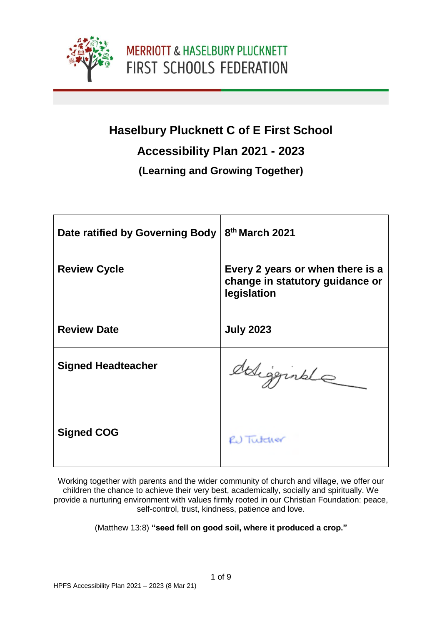

# **Haselbury Plucknett C of E First School**

#### **Accessibility Plan 2021 - 2023**

#### **(Learning and Growing Together)**

| Date ratified by Governing Body | 8th March 2021                                                                     |
|---------------------------------|------------------------------------------------------------------------------------|
| <b>Review Cycle</b>             | Every 2 years or when there is a<br>change in statutory guidance or<br>legislation |
| <b>Review Date</b>              | <b>July 2023</b>                                                                   |
| <b>Signed Headteacher</b>       | deligginale                                                                        |
| <b>Signed COG</b>               | R.) Tutcher                                                                        |

Working together with parents and the wider community of church and village, we offer our children the chance to achieve their very best, academically, socially and spiritually. We provide a nurturing environment with values firmly rooted in our Christian Foundation: peace, self-control, trust, kindness, patience and love.

(Matthew 13:8) **"seed fell on good soil, where it produced a crop."**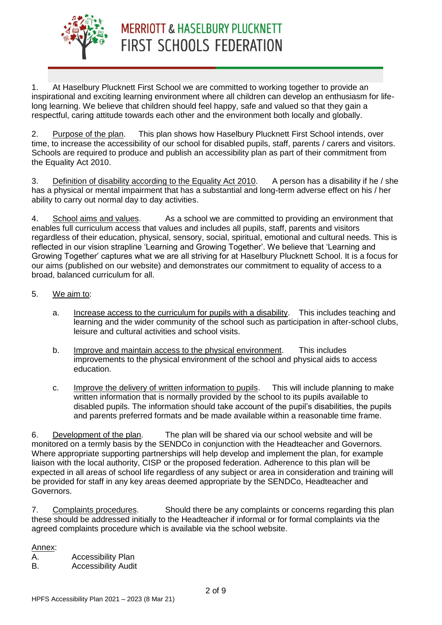

1. At Haselbury Plucknett First School we are committed to working together to provide an inspirational and exciting learning environment where all children can develop an enthusiasm for lifelong learning. We believe that children should feel happy, safe and valued so that they gain a respectful, caring attitude towards each other and the environment both locally and globally.

2. Purpose of the plan. This plan shows how Haselbury Plucknett First School intends, over time, to increase the accessibility of our school for disabled pupils, staff, parents / carers and visitors. Schools are required to produce and publish an accessibility plan as part of their commitment from the Equality Act 2010.

3. Definition of disability according to the Equality Act 2010. A person has a disability if he / she has a physical or mental impairment that has a substantial and long-term adverse effect on his / her ability to carry out normal day to day activities.

4. School aims and values. As a school we are committed to providing an environment that enables full curriculum access that values and includes all pupils, staff, parents and visitors regardless of their education, physical, sensory, social, spiritual, emotional and cultural needs. This is reflected in our vision strapline 'Learning and Growing Together'. We believe that 'Learning and Growing Together' captures what we are all striving for at Haselbury Plucknett School. It is a focus for our aims (published on our website) and demonstrates our commitment to equality of access to a broad, balanced curriculum for all.

#### 5. We aim to:

- a. Increase access to the curriculum for pupils with a disability. This includes teaching and learning and the wider community of the school such as participation in after-school clubs, leisure and cultural activities and school visits.
- b. Improve and maintain access to the physical environment. This includes improvements to the physical environment of the school and physical aids to access education.
- c. Improve the delivery of written information to pupils. This will include planning to make written information that is normally provided by the school to its pupils available to disabled pupils. The information should take account of the pupil's disabilities, the pupils and parents preferred formats and be made available within a reasonable time frame.

6. Development of the plan. The plan will be shared via our school website and will be monitored on a termly basis by the SENDCo in conjunction with the Headteacher and Governors. Where appropriate supporting partnerships will help develop and implement the plan, for example liaison with the local authority, CISP or the proposed federation. Adherence to this plan will be expected in all areas of school life regardless of any subject or area in consideration and training will be provided for staff in any key areas deemed appropriate by the SENDCo, Headteacher and Governors.

7. Complaints procedures. Should there be any complaints or concerns regarding this plan these should be addressed initially to the Headteacher if informal or for formal complaints via the agreed complaints procedure which is available via the school website.

Annex:

A. Accessibility Plan

B. Accessibility Audit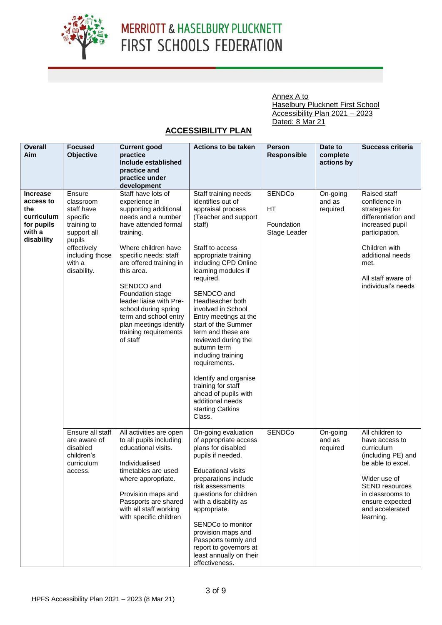

Annex A to Haselbury Plucknett First School Accessibility Plan 2021 – 2023 Dated: 8 Mar 21

#### **ACCESSIBILITY PLAN**

| <b>Overall</b><br>Aim | <b>Focused</b><br>Objective | <b>Current good</b><br>practice                | <b>Actions to be taken</b>                        | <b>Person</b><br><b>Responsible</b> | Date to<br>complete | Success criteria                   |
|-----------------------|-----------------------------|------------------------------------------------|---------------------------------------------------|-------------------------------------|---------------------|------------------------------------|
|                       |                             | Include established<br>practice and            |                                                   |                                     | actions by          |                                    |
|                       |                             | practice under<br>development                  |                                                   |                                     |                     |                                    |
| <b>Increase</b>       | Ensure                      | Staff have lots of                             | Staff training needs                              | <b>SENDCo</b>                       | On-going            | Raised staff                       |
| access to             | classroom                   | experience in                                  | identifies out of                                 |                                     | and as              | confidence in                      |
| the                   | staff have                  | supporting additional                          | appraisal process                                 | HT                                  | required            | strategies for                     |
| curriculum            | specific                    | needs and a number                             | (Teacher and support                              |                                     |                     | differentiation and                |
| for pupils            | training to                 | have attended formal                           | staff)                                            | Foundation                          |                     | increased pupil                    |
| with a<br>disability  | support all                 | training.                                      |                                                   | Stage Leader                        |                     | participation.                     |
|                       | pupils<br>effectively       | Where children have                            | Staff to access                                   |                                     |                     | Children with                      |
|                       | including those             | specific needs; staff                          | appropriate training                              |                                     |                     | additional needs                   |
|                       | with a                      | are offered training in                        | including CPD Online                              |                                     |                     | met.                               |
|                       | disability.                 | this area.                                     | learning modules if<br>required.                  |                                     |                     | All staff aware of                 |
|                       |                             | SENDCO and                                     |                                                   |                                     |                     | individual's needs                 |
|                       |                             | Foundation stage                               | SENDCO and                                        |                                     |                     |                                    |
|                       |                             | leader liaise with Pre-                        | Headteacher both                                  |                                     |                     |                                    |
|                       |                             | school during spring<br>term and school entry  | involved in School<br>Entry meetings at the       |                                     |                     |                                    |
|                       |                             | plan meetings identify                         | start of the Summer                               |                                     |                     |                                    |
|                       |                             | training requirements                          | term and these are                                |                                     |                     |                                    |
|                       |                             | of staff                                       | reviewed during the                               |                                     |                     |                                    |
|                       |                             |                                                | autumn term<br>including training                 |                                     |                     |                                    |
|                       |                             |                                                | requirements.                                     |                                     |                     |                                    |
|                       |                             |                                                |                                                   |                                     |                     |                                    |
|                       |                             |                                                | Identify and organise<br>training for staff       |                                     |                     |                                    |
|                       |                             |                                                | ahead of pupils with                              |                                     |                     |                                    |
|                       |                             |                                                | additional needs                                  |                                     |                     |                                    |
|                       |                             |                                                | starting Catkins                                  |                                     |                     |                                    |
|                       |                             |                                                | Class.                                            |                                     |                     |                                    |
|                       | Ensure all staff            | All activities are open                        | On-going evaluation                               | <b>SENDCo</b>                       | On-going            | All children to                    |
|                       | are aware of                | to all pupils including                        | of appropriate access                             |                                     | and as              | have access to                     |
|                       | disabled<br>children's      | educational visits.                            | plans for disabled<br>pupils if needed.           |                                     | required            | curriculum<br>(including PE) and   |
|                       | curriculum                  | Individualised                                 |                                                   |                                     |                     | be able to excel.                  |
|                       | access.                     | timetables are used                            | <b>Educational visits</b>                         |                                     |                     |                                    |
|                       |                             | where appropriate.                             | preparations include                              |                                     |                     | Wider use of                       |
|                       |                             |                                                | risk assessments                                  |                                     |                     | SEND resources                     |
|                       |                             | Provision maps and                             | questions for children                            |                                     |                     | in classrooms to                   |
|                       |                             | Passports are shared<br>with all staff working | with a disability as<br>appropriate.              |                                     |                     | ensure expected<br>and accelerated |
|                       |                             | with specific children                         |                                                   |                                     |                     | learning.                          |
|                       |                             |                                                | SENDCo to monitor                                 |                                     |                     |                                    |
|                       |                             |                                                | provision maps and                                |                                     |                     |                                    |
|                       |                             |                                                | Passports termly and                              |                                     |                     |                                    |
|                       |                             |                                                | report to governors at<br>least annually on their |                                     |                     |                                    |
|                       |                             |                                                | effectiveness.                                    |                                     |                     |                                    |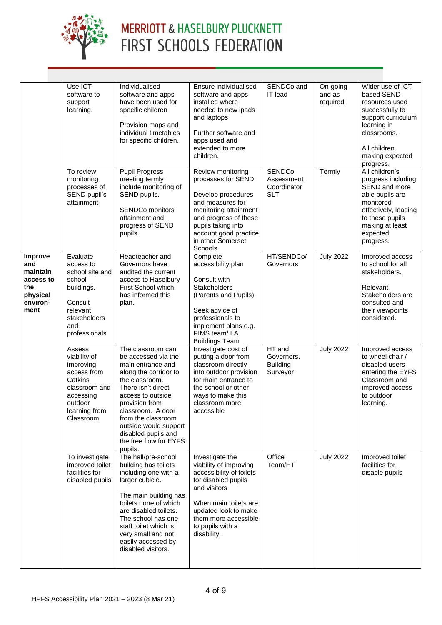

|                                                                                       | Use ICT                                                                                                                              | Individualised                                                                                                                                                                                                                                                                                        | Ensure individualised                                                                                                                                                                                                    | SENDCo and                                               | On-going           | Wider use of ICT                                                                                                                                                             |
|---------------------------------------------------------------------------------------|--------------------------------------------------------------------------------------------------------------------------------------|-------------------------------------------------------------------------------------------------------------------------------------------------------------------------------------------------------------------------------------------------------------------------------------------------------|--------------------------------------------------------------------------------------------------------------------------------------------------------------------------------------------------------------------------|----------------------------------------------------------|--------------------|------------------------------------------------------------------------------------------------------------------------------------------------------------------------------|
|                                                                                       | software to<br>support<br>learning.                                                                                                  | software and apps<br>have been used for<br>specific children<br>Provision maps and<br>individual timetables<br>for specific children.                                                                                                                                                                 | software and apps<br>installed where<br>needed to new ipads<br>and laptops<br>Further software and<br>apps used and<br>extended to more<br>children.                                                                     | <b>IT</b> lead                                           | and as<br>required | based SEND<br>resources used<br>successfully to<br>support curriculum<br>learning in<br>classrooms.<br>All children<br>making expected<br>progress.                          |
|                                                                                       | To review<br>monitoring<br>processes of<br>SEND pupil's<br>attainment                                                                | <b>Pupil Progress</b><br>meeting termly<br>include monitoring of<br>SEND pupils.<br><b>SENDCo monitors</b><br>attainment and<br>progress of SEND<br>pupils                                                                                                                                            | Review monitoring<br>processes for SEND<br>Develop procedures<br>and measures for<br>monitoring attainment<br>and progress of these<br>pupils taking into<br>account good practice<br>in other Somerset<br>Schools       | <b>SENDCo</b><br>Assessment<br>Coordinator<br><b>SLT</b> | Termly             | All children's<br>progress including<br>SEND and more<br>able pupils are<br>monitored<br>effectively, leading<br>to these pupils<br>making at least<br>expected<br>progress. |
| <b>Improve</b><br>and<br>maintain<br>access to<br>the<br>physical<br>environ-<br>ment | Evaluate<br>access to<br>school site and<br>school<br>buildings.<br>Consult<br>relevant<br>stakeholders<br>and<br>professionals      | Headteacher and<br>Governors have<br>audited the current<br>access to Haselbury<br>First School which<br>has informed this<br>plan.                                                                                                                                                                   | Complete<br>accessibility plan<br>Consult with<br><b>Stakeholders</b><br>(Parents and Pupils)<br>Seek advice of<br>professionals to<br>implement plans e.g.<br>PIMS team/LA<br><b>Buildings Team</b>                     | HT/SENDCo/<br>Governors                                  | <b>July 2022</b>   | Improved access<br>to school for all<br>stakeholders.<br>Relevant<br>Stakeholders are<br>consulted and<br>their viewpoints<br>considered.                                    |
|                                                                                       | Assess<br>viability of<br>improving<br>access from<br>Catkins<br>classroom and<br>accessing<br>outdoor<br>learning from<br>Classroom | The classroom can<br>be accessed via the<br>main entrance and<br>along the corridor to<br>the classroom.<br>There isn't direct<br>access to outside<br>provision from<br>classroom. A door<br>from the classroom<br>outside would support<br>disabled pupils and<br>the free flow for EYFS<br>pupils. | Investigate cost of<br>putting a door from<br>classroom directly<br>into outdoor provision<br>for main entrance to<br>the school or other<br>ways to make this<br>classroom more<br>accessible                           | HT and<br>Governors.<br><b>Building</b><br>Surveyor      | <b>July 2022</b>   | Improved access<br>to wheel chair /<br>disabled users<br>entering the EYFS<br>Classroom and<br>improved access<br>to outdoor<br>learning.                                    |
|                                                                                       | To investigate<br>improved toilet<br>facilities for<br>disabled pupils                                                               | The hall/pre-school<br>building has toilets<br>including one with a<br>larger cubicle.<br>The main building has<br>toilets none of which<br>are disabled toilets.<br>The school has one<br>staff toilet which is<br>very small and not<br>easily accessed by<br>disabled visitors.                    | Investigate the<br>viability of improving<br>accessibility of toilets<br>for disabled pupils<br>and visitors<br>When main toilets are<br>updated look to make<br>them more accessible<br>to pupils with a<br>disability. | Office<br>Team/HT                                        | <b>July 2022</b>   | Improved toilet<br>facilities for<br>disable pupils                                                                                                                          |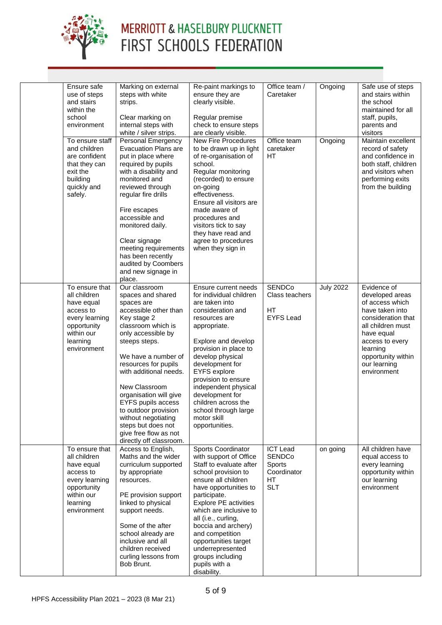

| Ensure safe<br>use of steps<br>and stairs<br>within the<br>school<br>environment                                                    | Marking on external<br>steps with white<br>strips.<br>Clear marking on<br>internal steps with<br>white / silver strips.                                                                                                                                                                                                                                                                                                         | Re-paint markings to<br>ensure they are<br>clearly visible.<br>Regular premise<br>check to ensure steps<br>are clearly visible.                                                                                                                                                                                                                                                                  | Office team /<br>Caretaker                                                     | Ongoing          | Safe use of steps<br>and stairs within<br>the school<br>maintained for all<br>staff, pupils,<br>parents and<br>visitors                                                                                           |
|-------------------------------------------------------------------------------------------------------------------------------------|---------------------------------------------------------------------------------------------------------------------------------------------------------------------------------------------------------------------------------------------------------------------------------------------------------------------------------------------------------------------------------------------------------------------------------|--------------------------------------------------------------------------------------------------------------------------------------------------------------------------------------------------------------------------------------------------------------------------------------------------------------------------------------------------------------------------------------------------|--------------------------------------------------------------------------------|------------------|-------------------------------------------------------------------------------------------------------------------------------------------------------------------------------------------------------------------|
| To ensure staff<br>and children<br>are confident<br>that they can<br>exit the<br>building<br>quickly and<br>safely.                 | Personal Emergency<br><b>Evacuation Plans are</b><br>put in place where<br>required by pupils<br>with a disability and<br>monitored and<br>reviewed through<br>regular fire drills<br>Fire escapes<br>accessible and<br>monitored daily.<br>Clear signage<br>meeting requirements<br>has been recently<br>audited by Coombers<br>and new signage in<br>place.                                                                   | <b>New Fire Procedures</b><br>to be drawn up in light<br>of re-organisation of<br>school.<br>Regular monitoring<br>(recorded) to ensure<br>on-going<br>effectiveness.<br>Ensure all visitors are<br>made aware of<br>procedures and<br>visitors tick to say<br>they have read and<br>agree to procedures<br>when they sign in                                                                    | Office team<br>caretaker<br><b>HT</b>                                          | Ongoing          | Maintain excellent<br>record of safety<br>and confidence in<br>both staff, children<br>and visitors when<br>performing exits<br>from the building                                                                 |
| To ensure that<br>all children<br>have equal<br>access to<br>every learning<br>opportunity<br>within our<br>learning<br>environment | Our classroom<br>spaces and shared<br>spaces are<br>accessible other than<br>Key stage 2<br>classroom which is<br>only accessible by<br>steeps steps.<br>We have a number of<br>resources for pupils<br>with additional needs.<br>New Classroom<br>organisation will give<br><b>EYFS pupils access</b><br>to outdoor provision<br>without negotiating<br>steps but does not<br>give free flow as not<br>directly off classroom. | Ensure current needs<br>for individual children<br>are taken into<br>consideration and<br>resources are<br>appropriate.<br>Explore and develop<br>provision in place to<br>develop physical<br>development for<br><b>EYFS</b> explore<br>provision to ensure<br>independent physical<br>development for<br>children across the<br>school through large<br>motor skill<br>opportunities.          | <b>SENDCo</b><br>Class teachers<br>HT<br><b>EYFS Lead</b>                      | <b>July 2022</b> | Evidence of<br>developed areas<br>of access which<br>have taken into<br>consideration that<br>all children must<br>have equal<br>access to every<br>learning<br>opportunity within<br>our learning<br>environment |
| To ensure that<br>all children<br>have equal<br>access to<br>every learning<br>opportunity<br>within our<br>learning<br>environment | Access to English,<br>Maths and the wider<br>curriculum supported<br>by appropriate<br>resources.<br>PE provision support<br>linked to physical<br>support needs.<br>Some of the after<br>school already are<br>inclusive and all<br>children received<br>curling lessons from<br>Bob Brunt.                                                                                                                                    | <b>Sports Coordinator</b><br>with support of Office<br>Staff to evaluate after<br>school provision to<br>ensure all children<br>have opportunities to<br>participate.<br><b>Explore PE activities</b><br>which are inclusive to<br>all (i.e., curling,<br>boccia and archery)<br>and competition<br>opportunities target<br>underrepresented<br>groups including<br>pupils with a<br>disability. | <b>ICT Lead</b><br><b>SENDCo</b><br>Sports<br>Coordinator<br>HT.<br><b>SLT</b> | on going         | All children have<br>equal access to<br>every learning<br>opportunity within<br>our learning<br>environment                                                                                                       |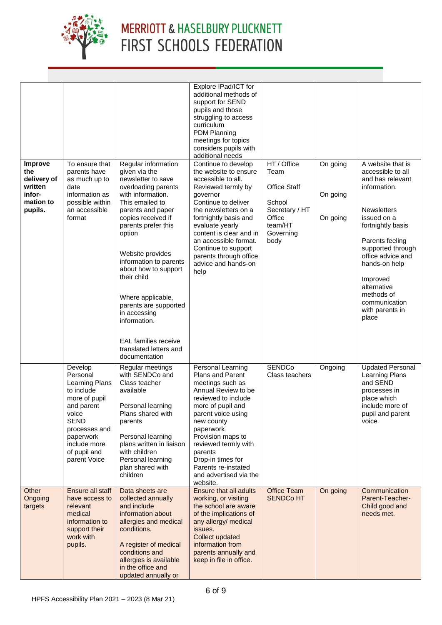

| Improve<br>the<br>delivery of<br>written<br>infor-<br>mation to<br>pupils. | To ensure that<br>parents have<br>as much up to<br>date<br>information as<br>possible within<br>an accessible<br>format                                                                         | Regular information<br>given via the<br>newsletter to save<br>overloading parents<br>with information.<br>This emailed to<br>parents and paper<br>copies received if<br>parents prefer this<br>option<br>Website provides<br>information to parents<br>about how to support<br>their child<br>Where applicable,<br>parents are supported<br>in accessing<br>information.<br><b>EAL</b> families receive<br>translated letters and | Explore IPad/ICT for<br>additional methods of<br>support for SEND<br>pupils and those<br>struggling to access<br>curriculum<br><b>PDM Planning</b><br>meetings for topics<br>considers pupils with<br>additional needs<br>Continue to develop<br>the website to ensure<br>accessible to all.<br>Reviewed termly by<br>governor<br>Continue to deliver<br>the newsletters on a<br>fortnightly basis and<br>evaluate yearly<br>content is clear and in<br>an accessible format.<br>Continue to support<br>parents through office<br>advice and hands-on<br>help | HT / Office<br>Team<br>Office Staff<br>School<br>Secretary / HT<br>Office<br>team/HT<br>Governing<br>body | On going<br>On going<br>On going | A website that is<br>accessible to all<br>and has relevant<br>information.<br><b>Newsletters</b><br>issued on a<br>fortnightly basis<br>Parents feeling<br>supported through<br>office advice and<br>hands-on help<br>Improved<br>alternative<br>methods of<br>communication<br>with parents in<br>place |
|----------------------------------------------------------------------------|-------------------------------------------------------------------------------------------------------------------------------------------------------------------------------------------------|-----------------------------------------------------------------------------------------------------------------------------------------------------------------------------------------------------------------------------------------------------------------------------------------------------------------------------------------------------------------------------------------------------------------------------------|---------------------------------------------------------------------------------------------------------------------------------------------------------------------------------------------------------------------------------------------------------------------------------------------------------------------------------------------------------------------------------------------------------------------------------------------------------------------------------------------------------------------------------------------------------------|-----------------------------------------------------------------------------------------------------------|----------------------------------|----------------------------------------------------------------------------------------------------------------------------------------------------------------------------------------------------------------------------------------------------------------------------------------------------------|
|                                                                            | Develop<br>Personal<br><b>Learning Plans</b><br>to include<br>more of pupil<br>and parent<br>voice<br><b>SEND</b><br>processes and<br>paperwork<br>include more<br>of pupil and<br>parent Voice | documentation<br>Regular meetings<br>with SENDCo and<br>Class teacher<br>available<br>Personal learning<br>Plans shared with<br>parents<br>Personal learning<br>plans written in liaison<br>with children<br>Personal learning<br>plan shared with<br>children                                                                                                                                                                    | Personal Learning<br>Plans and Parent<br>meetings such as<br>Annual Review to be<br>reviewed to include<br>more of pupil and<br>parent voice using<br>new county<br>paperwork<br>Provision maps to<br>reviewed termly with<br>parents<br>Drop-in times for<br>Parents re-instated<br>and advertised via the<br>website.                                                                                                                                                                                                                                       | <b>SENDCo</b><br>Class teachers                                                                           | Ongoing                          | <b>Updated Personal</b><br>Learning Plans<br>and SEND<br>processes in<br>place which<br>include more of<br>pupil and parent<br>voice                                                                                                                                                                     |
| Other<br>Ongoing<br>targets                                                | Ensure all staff<br>have access to<br>relevant<br>medical<br>information to<br>support their<br>work with<br>pupils.                                                                            | Data sheets are<br>collected annually<br>and include<br>information about<br>allergies and medical<br>conditions.<br>A register of medical<br>conditions and<br>allergies is available<br>in the office and<br>updated annually or                                                                                                                                                                                                | <b>Ensure that all adults</b><br>working, or visiting<br>the school are aware<br>of the implications of<br>any allergy/ medical<br>issues.<br><b>Collect updated</b><br>information from<br>parents annually and<br>keep in file in office.                                                                                                                                                                                                                                                                                                                   | <b>Office Team</b><br><b>SENDCo HT</b>                                                                    | On going                         | Communication<br>Parent-Teacher-<br>Child good and<br>needs met.                                                                                                                                                                                                                                         |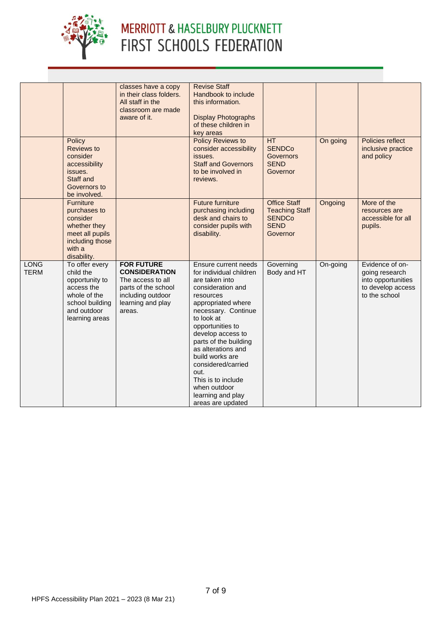

|                            | Policy                                                                                                                          | classes have a copy<br>in their class folders.<br>All staff in the<br>classroom are made<br>aware of it.                                  | <b>Revise Staff</b><br>Handbook to include<br>this information.<br><b>Display Photographs</b><br>of these children in<br>key areas<br><b>Policy Reviews to</b>                                                                                                                                                                                                                          | HT                                                                                       | On going | Policies reflect                                                                              |
|----------------------------|---------------------------------------------------------------------------------------------------------------------------------|-------------------------------------------------------------------------------------------------------------------------------------------|-----------------------------------------------------------------------------------------------------------------------------------------------------------------------------------------------------------------------------------------------------------------------------------------------------------------------------------------------------------------------------------------|------------------------------------------------------------------------------------------|----------|-----------------------------------------------------------------------------------------------|
|                            | <b>Reviews to</b><br>consider<br>accessibility<br>issues.<br>Staff and<br>Governors to<br>be involved.                          |                                                                                                                                           | consider accessibility<br>issues.<br><b>Staff and Governors</b><br>to be involved in<br>reviews.                                                                                                                                                                                                                                                                                        | <b>SENDCo</b><br><b>Governors</b><br><b>SEND</b><br>Governor                             |          | inclusive practice<br>and policy                                                              |
|                            | <b>Furniture</b><br>purchases to<br>consider<br>whether they<br>meet all pupils<br>including those<br>with a<br>disability.     |                                                                                                                                           | <b>Future furniture</b><br>purchasing including<br>desk and chairs to<br>consider pupils with<br>disability.                                                                                                                                                                                                                                                                            | <b>Office Staff</b><br><b>Teaching Staff</b><br><b>SENDCo</b><br><b>SEND</b><br>Governor | Ongoing  | More of the<br>resources are<br>accessible for all<br>pupils.                                 |
| <b>LONG</b><br><b>TERM</b> | To offer every<br>child the<br>opportunity to<br>access the<br>whole of the<br>school building<br>and outdoor<br>learning areas | <b>FOR FUTURE</b><br><b>CONSIDERATION</b><br>The access to all<br>parts of the school<br>including outdoor<br>learning and play<br>areas. | Ensure current needs<br>for individual children<br>are taken into<br>consideration and<br>resources<br>appropriated where<br>necessary. Continue<br>to look at<br>opportunities to<br>develop access to<br>parts of the building<br>as alterations and<br>build works are<br>considered/carried<br>out.<br>This is to include<br>when outdoor<br>learning and play<br>areas are updated | Governing<br>Body and HT                                                                 | On-going | Evidence of on-<br>going research<br>into opportunities<br>to develop access<br>to the school |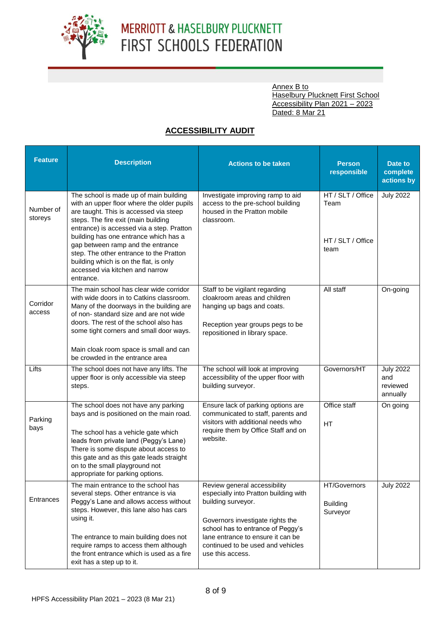

Annex B to **Haselbury Plucknett First School** Accessibility Plan 2021 – 2023 Dated: 8 Mar 21

#### **ACCESSIBILITY AUDIT**

| <b>Feature</b>       | <b>Description</b>                                                                                                                                                                                                                                                                                                                                                                                                                    | <b>Actions to be taken</b>                                                                                                                                                                                                                                         | <b>Person</b><br>responsible                           | Date to<br>complete<br>actions by               |  |
|----------------------|---------------------------------------------------------------------------------------------------------------------------------------------------------------------------------------------------------------------------------------------------------------------------------------------------------------------------------------------------------------------------------------------------------------------------------------|--------------------------------------------------------------------------------------------------------------------------------------------------------------------------------------------------------------------------------------------------------------------|--------------------------------------------------------|-------------------------------------------------|--|
| Number of<br>storeys | The school is made up of main building<br>with an upper floor where the older pupils<br>are taught. This is accessed via steep<br>steps. The fire exit (main building<br>entrance) is accessed via a step. Pratton<br>building has one entrance which has a<br>gap between ramp and the entrance<br>step. The other entrance to the Pratton<br>building which is on the flat, is only<br>accessed via kitchen and narrow<br>entrance. | Investigate improving ramp to aid<br>access to the pre-school building<br>housed in the Pratton mobile<br>classroom.                                                                                                                                               | HT / SLT / Office<br>Team<br>HT / SLT / Office<br>team | <b>July 2022</b>                                |  |
| Corridor<br>access   | The main school has clear wide corridor<br>with wide doors in to Catkins classroom.<br>Many of the doorways in the building are<br>of non-standard size and are not wide<br>doors. The rest of the school also has<br>some tight corners and small door ways.<br>Main cloak room space is small and can<br>be crowded in the entrance area                                                                                            | Staff to be vigilant regarding<br>cloakroom areas and children<br>hanging up bags and coats.<br>Reception year groups pegs to be<br>repositioned in library space.                                                                                                 | All staff                                              | On-going                                        |  |
| Lifts                | The school does not have any lifts. The<br>upper floor is only accessible via steep<br>steps.                                                                                                                                                                                                                                                                                                                                         | The school will look at improving<br>accessibility of the upper floor with<br>building surveyor.                                                                                                                                                                   | Governors/HT                                           | <b>July 2022</b><br>and<br>reviewed<br>annually |  |
| Parking<br>bays      | The school does not have any parking<br>bays and is positioned on the main road.<br>The school has a vehicle gate which<br>leads from private land (Peggy's Lane)<br>There is some dispute about access to<br>this gate and as this gate leads straight<br>on to the small playground not<br>appropriate for parking options.                                                                                                         | Ensure lack of parking options are<br>communicated to staff, parents and<br>visitors with additional needs who<br>require them by Office Staff and on<br>website.                                                                                                  | Office staff<br><b>HT</b>                              | On going                                        |  |
| Entrances            | The main entrance to the school has<br>several steps. Other entrance is via<br>Peggy's Lane and allows access without<br>steps. However, this lane also has cars<br>using it.<br>The entrance to main building does not<br>require ramps to access them although<br>the front entrance which is used as a fire<br>exit has a step up to it.                                                                                           | Review general accessibility<br>especially into Pratton building with<br>building surveyor.<br>Governors investigate rights the<br>school has to entrance of Peggy's<br>lane entrance to ensure it can be<br>continued to be used and vehicles<br>use this access. | HT/Governors<br><b>Building</b><br>Surveyor            | <b>July 2022</b>                                |  |